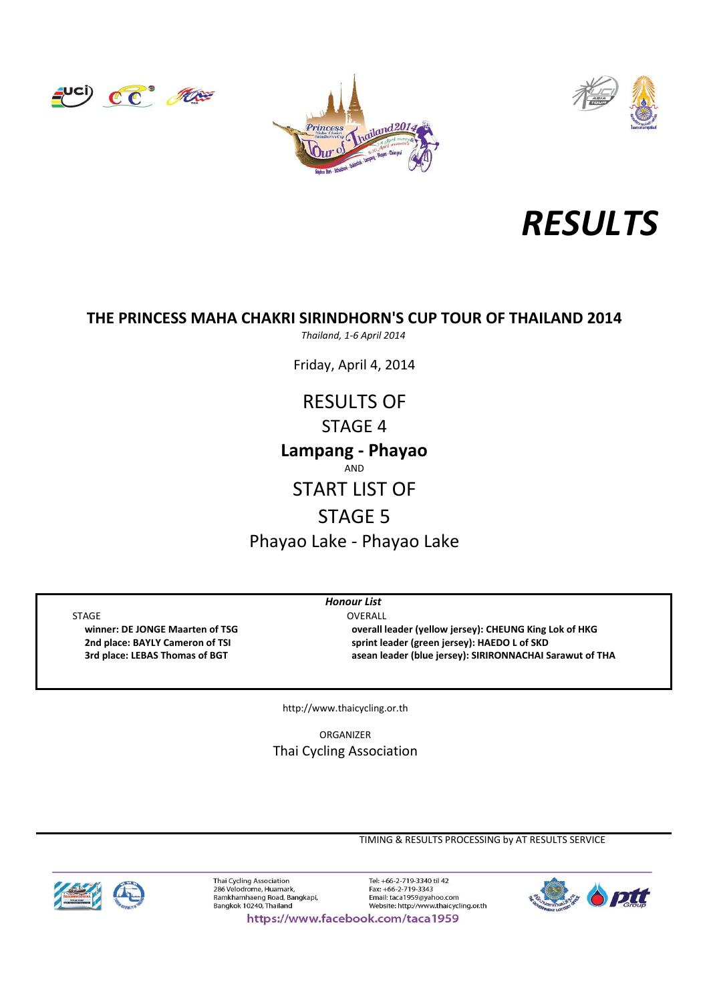







### **THE PRINCESS MAHA CHAKRI SIRINDHORN'S CUP TOUR OF THAILAND 2014**

*Thailand, 1‐6 April 2014*

Friday, April 4, 2014

AND START LIST OF STAGE 5 **Lampang ‐ Phayao** RESULTS OF STAGE 4

Phayao Lake ‐ Phayao Lake

STAGE OVERALL

*Honour List*

 **winner: DE JONGE Maarten of TSG overall leader (yellow jersey): CHEUNG King Lok of HKG 2nd place: BAYLY Cameron of TSI sprint leader (green jersey): HAEDO L of SKD 3rd place: LEBAS Thomas of BGT asean leader (blue jersey): SIRIRONNACHAI Sarawut of THA**

http://www.thaicycling.or.th

ORGANIZER Thai Cycling Association

TIMING & RESULTS PROCESSING by AT RESULTS SERVICE



Thai Cycling Association<br>286 Velodrome, Huamark, Ramkhamhaeng Road, Bangkapi,<br>Bangkok 10240, Thailand

Tel: +66-2-719-3340 til 42 Fax: +66-2-719-3343 Email: taca1959@yahoo.com<br>Website: http://www.thaicycling.or.th



https://www.facebook.com/taca1959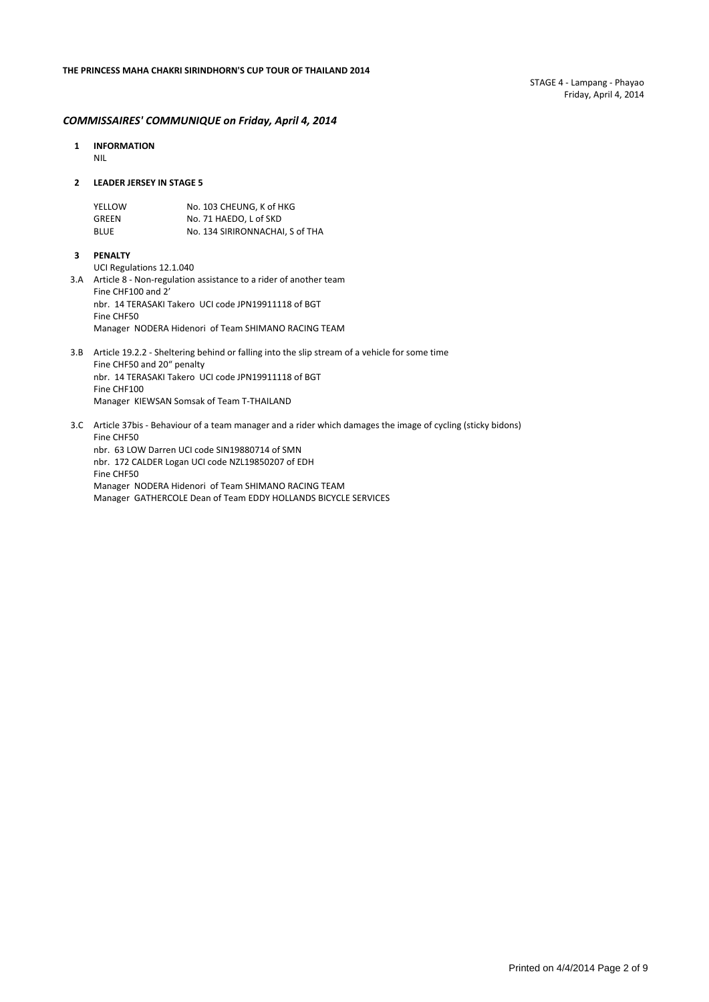#### *COMMISSAIRES' COMMUNIQUE on Friday, April 4, 2014*

- **1 INFORMATION** NIL
- **2 LEADER JERSEY IN STAGE 5**

| YELLOW      | No. 103 CHEUNG. K of HKG        |
|-------------|---------------------------------|
| GREEN       | No. 71 HAEDO. L of SKD          |
| <b>BLUE</b> | No. 134 SIRIRONNACHAI. S of THA |

**3 PENALTY**

UCI Regulations 12.1.040

- 3.A Article 8 ‐ Non‐regulation assistance to a rider of another team Fine CHF100 and 2' nbr. 14 TERASAKI Takero UCI code JPN19911118 of BGT Fine CHF50 Manager NODERA Hidenori of Team SHIMANO RACING TEAM
- 3.B Article 19.2.2 ‐ Sheltering behind or falling into the slip stream of a vehicle for some time Fine CHF50 and 20" penalty nbr. 14 TERASAKI Takero UCI code JPN19911118 of BGT Fine CHF100 Manager KIEWSAN Somsak of Team T‐THAILAND
- 3.C Article 37bis ‐ Behaviour of a team manager and a rider which damages the image of cycling (sticky bidons) Fine CHF50 nbr. 63 LOW Darren UCI code SIN19880714 of SMN nbr. 172 CALDER Logan UCI code NZL19850207 of EDH Fine CHF50

Manager NODERA Hidenori of Team SHIMANO RACING TEAM Manager GATHERCOLE Dean of Team EDDY HOLLANDS BICYCLE SERVICES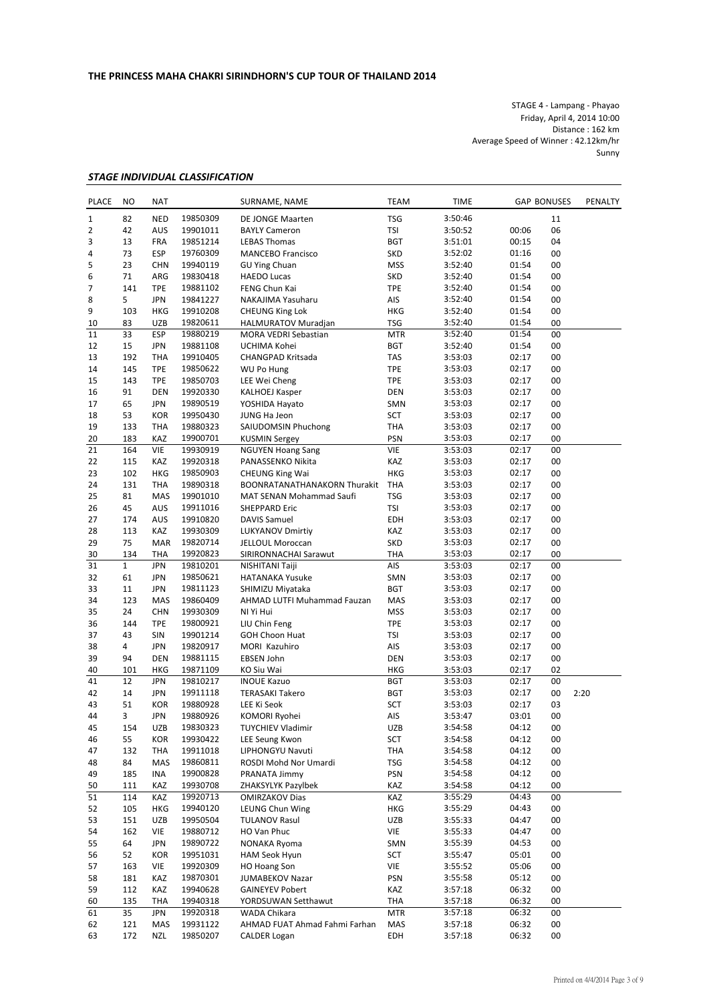STAGE 4 ‐ Lampang ‐ Phayao Friday, April 4, 2014 10:00 Distance : 162 km Average Speed of Winner : 42.12km/hr Sunny

#### *STAGE INDIVIDUAL CLASSIFICATION*

| <b>PLACE</b> | <b>NO</b>    | <b>NAT</b>        |                      | SURNAME, NAME                            | <b>TIME</b><br><b>TEAM</b> |                    | <b>GAP BONUSES</b> |          | PENALTY |
|--------------|--------------|-------------------|----------------------|------------------------------------------|----------------------------|--------------------|--------------------|----------|---------|
| 1            | 82           | <b>NED</b>        | 19850309             | DE JONGE Maarten                         | <b>TSG</b>                 | 3:50:46            |                    | 11       |         |
| 2            | 42           | AUS               | 19901011             | <b>BAYLY Cameron</b>                     | TSI                        | 3:50:52            | 00:06              | 06       |         |
| 3            | 13           | FRA               | 19851214             | <b>LEBAS Thomas</b>                      | <b>BGT</b>                 | 3:51:01            | 00:15              | 04       |         |
| 4            | 73           | <b>ESP</b>        | 19760309             | <b>MANCEBO Francisco</b>                 | <b>SKD</b>                 | 3:52:02            | 01:16              | 00       |         |
| 5            | 23           | <b>CHN</b>        | 19940119             | <b>GU Ying Chuan</b>                     | <b>MSS</b>                 | 3:52:40            | 01:54              | 00       |         |
| 6            | 71           | ARG               | 19830418             | <b>HAEDO Lucas</b>                       | <b>SKD</b>                 | 3:52:40            | 01:54              | 00       |         |
| 7            | 141          | <b>TPE</b>        | 19881102             | FENG Chun Kai                            | <b>TPE</b>                 | 3:52:40            | 01:54              | 00       |         |
| 8            | 5            | <b>JPN</b>        | 19841227             | NAKAJIMA Yasuharu                        | AIS                        | 3:52:40            | 01:54              | 00       |         |
| 9            | 103          | <b>HKG</b>        | 19910208             | <b>CHEUNG King Lok</b>                   | <b>HKG</b>                 | 3:52:40            | 01:54              | 00       |         |
| 10           | 83           | <b>UZB</b>        | 19820611             | HALMURATOV Muradjan                      | <b>TSG</b>                 | 3:52:40            | 01:54              | 00       |         |
| 11           | 33           | ESP               | 19880219             | MORA VEDRI Sebastian                     | <b>MTR</b>                 | 3:52:40            | 01:54              | 00       |         |
| 12           | 15           | <b>JPN</b>        | 19881108             | UCHIMA Kohei                             | <b>BGT</b>                 | 3:52:40            | 01:54              | 00       |         |
| 13           | 192          | <b>THA</b>        | 19910405             | CHANGPAD Kritsada                        | TAS                        | 3:53:03            | 02:17              | 00       |         |
| 14           | 145          | <b>TPE</b>        | 19850622             | WU Po Hung                               | <b>TPE</b>                 | 3:53:03            | 02:17              | 00       |         |
| 15           | 143          | <b>TPE</b>        | 19850703             | LEE Wei Cheng                            | <b>TPE</b>                 | 3:53:03            | 02:17              | 00       |         |
| 16           | 91           | DEN               | 19920330             | <b>KALHOEJ Kasper</b>                    | <b>DEN</b>                 | 3:53:03            | 02:17              | 00       |         |
| 17           | 65           | <b>JPN</b>        | 19890519             | YOSHIDA Hayato                           | SMN                        | 3:53:03            | 02:17              | 00       |         |
| 18           | 53           | KOR               | 19950430             | JUNG Ha Jeon                             | SCT                        | 3:53:03            | 02:17              | 00       |         |
| 19           | 133          | THA               | 19880323             | SAIUDOMSIN Phuchong                      | THA                        | 3:53:03            | 02:17              | 00       |         |
| 20           | 183          | KAZ               | 19900701             | <b>KUSMIN Sergey</b>                     | <b>PSN</b>                 | 3:53:03            | 02:17              | 00       |         |
| 21           | 164          | VIE               | 19930919             | <b>NGUYEN Hoang Sang</b>                 | <b>VIE</b>                 | 3:53:03            | 02:17              | 00       |         |
| 22           | 115          | KAZ               | 19920318             | PANASSENKO Nikita                        | KAZ                        | 3:53:03            | 02:17              | 00       |         |
| 23           | 102          | <b>HKG</b>        | 19850903             | <b>CHEUNG King Wai</b>                   | <b>HKG</b>                 | 3:53:03            | 02:17              | 00       |         |
| 24           | 131          | <b>THA</b>        | 19890318             | BOONRATANATHANAKORN Thurakit             | <b>THA</b>                 | 3:53:03            | 02:17              | 00       |         |
| 25           | 81           | MAS               | 19901010             | MAT SENAN Mohammad Saufi                 | <b>TSG</b>                 | 3:53:03            | 02:17              | 00       |         |
| 26           | 45           | AUS               | 19911016             | <b>SHEPPARD Eric</b>                     | TSI                        | 3:53:03            | 02:17              | 00       |         |
| 27           | 174          | AUS               | 19910820             | <b>DAVIS Samuel</b>                      | EDH                        | 3:53:03            | 02:17              | 00       |         |
| 28           | 113<br>75    | KAZ<br><b>MAR</b> | 19930309             | <b>LUKYANOV Dmirtiy</b>                  | KAZ<br><b>SKD</b>          | 3:53:03            | 02:17              | 00<br>00 |         |
| 29           | 134          |                   | 19820714             | JELLOUL Moroccan                         | THA                        | 3:53:03            | 02:17<br>02:17     | 00       |         |
| 30<br>31     | $\mathbf{1}$ | THA<br><b>JPN</b> | 19920823<br>19810201 | SIRIRONNACHAI Sarawut<br>NISHITANI Taiji | AIS                        | 3:53:03<br>3:53:03 | 02:17              | 00       |         |
| 32           | 61           | JPN               | 19850621             | <b>HATANAKA Yusuke</b>                   | SMN                        | 3:53:03            | 02:17              | 00       |         |
| 33           | 11           | <b>JPN</b>        | 19811123             | SHIMIZU Miyataka                         | <b>BGT</b>                 | 3:53:03            | 02:17              | 00       |         |
| 34           | 123          | MAS               | 19860409             | AHMAD LUTFI Muhammad Fauzan              | MAS                        | 3:53:03            | 02:17              | 00       |         |
| 35           | 24           | <b>CHN</b>        | 19930309             | NI Yi Hui                                | <b>MSS</b>                 | 3:53:03            | 02:17              | 00       |         |
| 36           | 144          | <b>TPE</b>        | 19800921             | LIU Chin Feng                            | <b>TPE</b>                 | 3:53:03            | 02:17              | 00       |         |
| 37           | 43           | SIN               | 19901214             | <b>GOH Choon Huat</b>                    | TSI                        | 3:53:03            | 02:17              | 00       |         |
| 38           | 4            | <b>JPN</b>        | 19820917             | MORI Kazuhiro                            | AIS                        | 3:53:03            | 02:17              | 00       |         |
| 39           | 94           | <b>DEN</b>        | 19881115             | EBSEN John                               | <b>DEN</b>                 | 3:53:03            | 02:17              | 00       |         |
| 40           | 101          | HKG               | 19871109             | KO Siu Wai                               | <b>HKG</b>                 | 3:53:03            | 02:17              | 02       |         |
| 41           | 12           | <b>JPN</b>        | 19810217             | <b>INOUE Kazuo</b>                       | <b>BGT</b>                 | 3:53:03            | 02:17              | 00       |         |
| 42           | 14           | JPN               | 19911118             | <b>TERASAKI Takero</b>                   | <b>BGT</b>                 | 3:53:03            | 02:17              | 00       | 2:20    |
| 43           | 51           | <b>KOR</b>        | 19880928             | LEE Ki Seok                              | SCT                        | 3:53:03            | 02:17              | 03       |         |
| 44           | 3            | <b>JPN</b>        | 19880926             | KOMORI Ryohei                            | AIS                        | 3:53:47            | 03:01              | 00       |         |
| 45           | 154          | UZB               | 19830323             | <b>TUYCHIEV Vladimir</b>                 | UZB                        | 3:54:58            | 04:12              | 00       |         |
| 46           | 55           | <b>KOR</b>        | 19930422             | LEE Seung Kwon                           | SCT                        | 3:54:58            | 04:12              | 00       |         |
| 47           | 132          | <b>THA</b>        | 19911018             | LIPHONGYU Navuti                         | THA                        | 3:54:58            | 04:12              | 00       |         |
| 48           | 84           | MAS               | 19860811             | ROSDI Mohd Nor Umardi                    | <b>TSG</b>                 | 3:54:58            | 04:12              | 00       |         |
| 49           | 185          | INA               | 19900828             | PRANATA Jimmy                            | PSN                        | 3:54:58            | 04:12              | 00       |         |
| 50           | 111          | KAZ               | 19930708             | ZHAKSYLYK Pazylbek                       | KAZ                        | 3:54:58            | 04:12              | 00       |         |
| 51           | 114          | KAZ               | 19920713             | <b>OMIRZAKOV Dias</b>                    | KAZ                        | 3:55:29            | 04:43              | 00       |         |
| 52           | 105          | HKG               | 19940120             | LEUNG Chun Wing                          | HKG                        | 3:55:29            | 04:43              | 00       |         |
| 53           | 151          | <b>UZB</b>        | 19950504             | <b>TULANOV Rasul</b>                     | UZB                        | 3:55:33            | 04:47              | 00       |         |
| 54           | 162          | VIE               | 19880712             | HO Van Phuc                              | VIE                        | 3:55:33            | 04:47              | 00       |         |
| 55           | 64           | <b>JPN</b>        | 19890722             | NONAKA Ryoma                             | SMN                        | 3:55:39            | 04:53              | 00       |         |
| 56           | 52           | <b>KOR</b>        | 19951031             | HAM Seok Hyun                            | SCT                        | 3:55:47            | 05:01              | 00       |         |
| 57           | 163          | VIE               | 19920309             | <b>HO Hoang Son</b>                      | VIE                        | 3:55:52            | 05:06              | 00       |         |
| 58           | 181          | KAZ               | 19870301             | JUMABEKOV Nazar                          | <b>PSN</b>                 | 3:55:58            | 05:12              | 00       |         |
| 59           | 112          | KAZ               | 19940628             | <b>GAINEYEV Pobert</b>                   | KAZ                        | 3:57:18            | 06:32              | 00       |         |
| 60           | 135          | <b>THA</b>        | 19940318             | YORDSUWAN Setthawut                      | THA                        | 3:57:18            | 06:32              | 00       |         |
| 61           | 35           | JPN               | 19920318             | WADA Chikara                             | <b>MTR</b>                 | 3:57:18            | 06:32              | 00       |         |
| 62           | 121          | MAS               | 19931122             | AHMAD FUAT Ahmad Fahmi Farhan            | MAS                        | 3:57:18            | 06:32              | 00       |         |
| 63           | 172          | <b>NZL</b>        | 19850207             | <b>CALDER Logan</b>                      | EDH                        | 3:57:18            | 06:32              | 00       |         |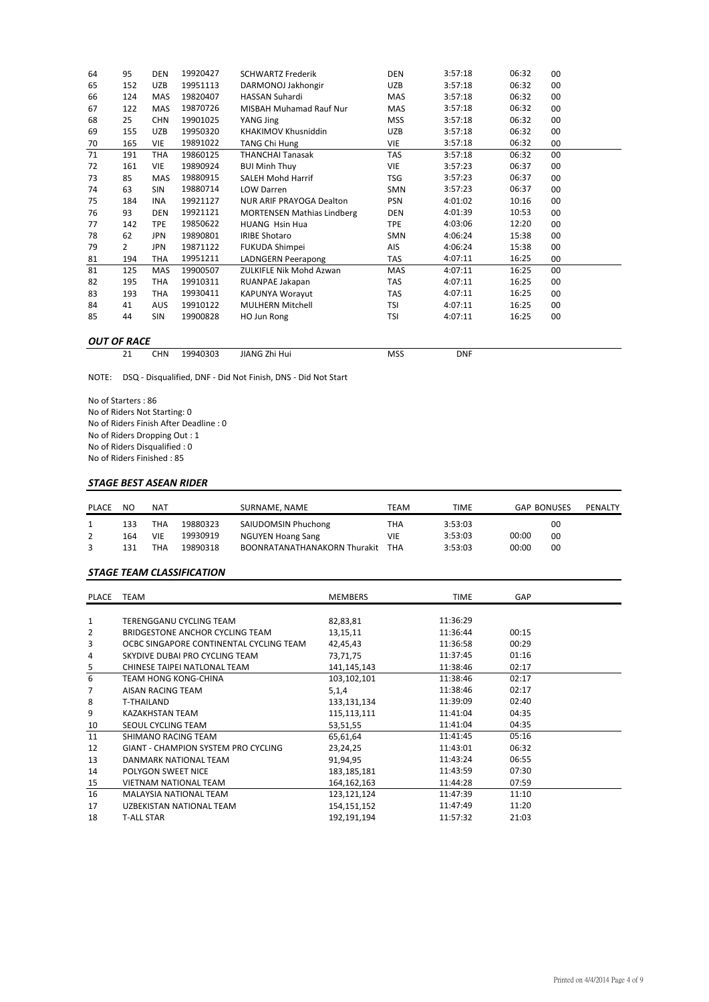| 64 | 95                 | <b>DEN</b> | 19920427 | <b>SCHWARTZ Frederik</b>          | <b>DEN</b> | 3:57:18 | 06:32 | 00     |  |  |  |
|----|--------------------|------------|----------|-----------------------------------|------------|---------|-------|--------|--|--|--|
| 65 | 152                | UZB        | 19951113 | DARMONOJ Jakhongir                | UZB        | 3:57:18 | 06:32 | 00     |  |  |  |
| 66 | 124                | MAS        | 19820407 | <b>HASSAN Suhardi</b>             | <b>MAS</b> | 3:57:18 | 06:32 | 00     |  |  |  |
| 67 | 122                | MAS        | 19870726 | <b>MISBAH Muhamad Rauf Nur</b>    | MAS        | 3:57:18 | 06:32 | 00     |  |  |  |
| 68 | 25                 | <b>CHN</b> | 19901025 | YANG Jing                         | <b>MSS</b> | 3:57:18 | 06:32 | 00     |  |  |  |
| 69 | 155                | <b>UZB</b> | 19950320 | KHAKIMOV Khusniddin               | UZB        | 3:57:18 | 06:32 | 00     |  |  |  |
| 70 | 165                | <b>VIE</b> | 19891022 | <b>TANG Chi Hung</b>              | VIE        | 3:57:18 | 06:32 | 00     |  |  |  |
| 71 | 191                | <b>THA</b> | 19860125 | <b>THANCHAI Tanasak</b>           | <b>TAS</b> | 3:57:18 | 06:32 | 00     |  |  |  |
| 72 | 161                | <b>VIE</b> | 19890924 | <b>BUI Minh Thuy</b>              | <b>VIE</b> | 3:57:23 | 06:37 | 00     |  |  |  |
| 73 | 85                 | MAS        | 19880915 | <b>SALEH Mohd Harrif</b>          | <b>TSG</b> | 3:57:23 | 06:37 | 00     |  |  |  |
| 74 | 63                 | SIN        | 19880714 | LOW Darren                        | SMN        | 3:57:23 | 06:37 | 00     |  |  |  |
| 75 | 184                | <b>INA</b> | 19921127 | NUR ARIF PRAYOGA Dealton          | <b>PSN</b> | 4:01:02 | 10:16 | 00     |  |  |  |
| 76 | 93                 | <b>DEN</b> | 19921121 | <b>MORTENSEN Mathias Lindberg</b> | DEN        | 4:01:39 | 10:53 | 00     |  |  |  |
| 77 | 142                | <b>TPE</b> | 19850622 | HUANG Hsin Hua                    | <b>TPE</b> | 4:03:06 | 12:20 | 00     |  |  |  |
| 78 | 62                 | <b>JPN</b> | 19890801 | <b>IRIBE Shotaro</b>              | <b>SMN</b> | 4:06:24 | 15:38 | 00     |  |  |  |
| 79 | 2                  | <b>JPN</b> | 19871122 | FUKUDA Shimpei                    | AIS        | 4:06:24 | 15:38 | $00\,$ |  |  |  |
| 81 | 194                | THA        | 19951211 | <b>LADNGERN Peerapong</b>         | <b>TAS</b> | 4:07:11 | 16:25 | 00     |  |  |  |
| 81 | 125                | MAS        | 19900507 | <b>ZULKIFLE Nik Mohd Azwan</b>    | MAS        | 4:07:11 | 16:25 | 00     |  |  |  |
| 82 | 195                | THA        | 19910311 | RUANPAE Jakapan                   | <b>TAS</b> | 4:07:11 | 16:25 | 00     |  |  |  |
| 83 | 193                | THA        | 19930411 | KAPUNYA Worayut                   | <b>TAS</b> | 4:07:11 | 16:25 | 00     |  |  |  |
| 84 | 41                 | <b>AUS</b> | 19910122 | <b>MULHERN Mitchell</b>           | TSI        | 4:07:11 | 16:25 | 00     |  |  |  |
| 85 | 44                 | <b>SIN</b> | 19900828 | HO Jun Rong                       | <b>TSI</b> | 4:07:11 | 16:25 | 00     |  |  |  |
|    |                    |            |          |                                   |            |         |       |        |  |  |  |
|    | <b>OUT OF RACE</b> |            |          |                                   |            |         |       |        |  |  |  |

# **OUT OF RACE**<br>21 CHN

21 CHN 19940303 JIANG Zhi Hui MSS MSS DNF

NOTE: DSQ ‐ Disqualified, DNF ‐ Did Not Finish, DNS ‐ Did Not Start

No of Starters : 86 No of Riders Not Starting: 0 No of Riders Finish After Deadline : 0 No of Riders Dropping Out : 1 No of Riders Disqualified : 0 No of Riders Finished : 85

#### *STAGE BEST ASEAN RIDER*

| <b>PLACE</b> | NO  | NAT |          | SURNAME, NAME                       | TEAM | TIME    | <b>GAP BONUSES</b> | PENALTY |
|--------------|-----|-----|----------|-------------------------------------|------|---------|--------------------|---------|
|              | 133 | THA | 19880323 | SAIUDOMSIN Phuchong                 | THA  | 3:53:03 | 00                 |         |
|              | 164 | VIE | 19930919 | <b>NGUYEN Hoang Sang</b>            | VIE  | 3:53:03 | 00:00<br>00        |         |
|              | 131 | THA | 19890318 | <b>BOONRATANATHANAKORN Thurakit</b> | THA  | 3:53:03 | 00:00<br>00        |         |

#### *STAGE TEAM CLASSIFICATION*

| PLACE          | TEAM                                    | <b>MEMBERS</b> | <b>TIME</b> | GAP   |  |
|----------------|-----------------------------------------|----------------|-------------|-------|--|
|                |                                         |                |             |       |  |
| $\mathbf{1}$   | TERENGGANU CYCLING TEAM                 | 82,83,81       | 11:36:29    |       |  |
| 2              | BRIDGESTONE ANCHOR CYCLING TEAM         | 13,15,11       | 11:36:44    | 00:15 |  |
| 3              | OCBC SINGAPORE CONTINENTAL CYCLING TEAM | 42,45,43       | 11:36:58    | 00:29 |  |
| 4              | SKYDIVE DUBAI PRO CYCLING TEAM          | 73,71,75       | 11:37:45    | 01:16 |  |
| $\overline{5}$ | CHINESE TAIPEI NATLONAL TEAM            | 141,145,143    | 11:38:46    | 02:17 |  |
| 6              | <b>TEAM HONG KONG-CHINA</b>             | 103,102,101    | 11:38:46    | 02:17 |  |
| 7              | AISAN RACING TEAM                       | 5,1,4          | 11:38:46    | 02:17 |  |
| 8              | T-THAILAND                              | 133,131,134    | 11:39:09    | 02:40 |  |
| 9              | KAZAKHSTAN TEAM                         | 115,113,111    | 11:41:04    | 04:35 |  |
| 10             | SEOUL CYCLING TEAM                      | 53,51,55       | 11:41:04    | 04:35 |  |
| 11             | SHIMANO RACING TEAM                     | 65,61,64       | 11:41:45    | 05:16 |  |
| 12             | GIANT - CHAMPION SYSTEM PRO CYCLING     | 23,24,25       | 11:43:01    | 06:32 |  |
| 13             | DANMARK NATIONAL TEAM                   | 91,94,95       | 11:43:24    | 06:55 |  |
| 14             | POLYGON SWEET NICE                      | 183, 185, 181  | 11:43:59    | 07:30 |  |
| 15             | <b>VIETNAM NATIONAL TEAM</b>            | 164, 162, 163  | 11:44:28    | 07:59 |  |
| 16             | <b>MALAYSIA NATIONAL TEAM</b>           | 123,121,124    | 11:47:39    | 11:10 |  |
| 17             | UZBEKISTAN NATIONAL TEAM                | 154,151,152    | 11:47:49    | 11:20 |  |
| 18             | <b>T-ALL STAR</b>                       | 192,191,194    | 11:57:32    | 21:03 |  |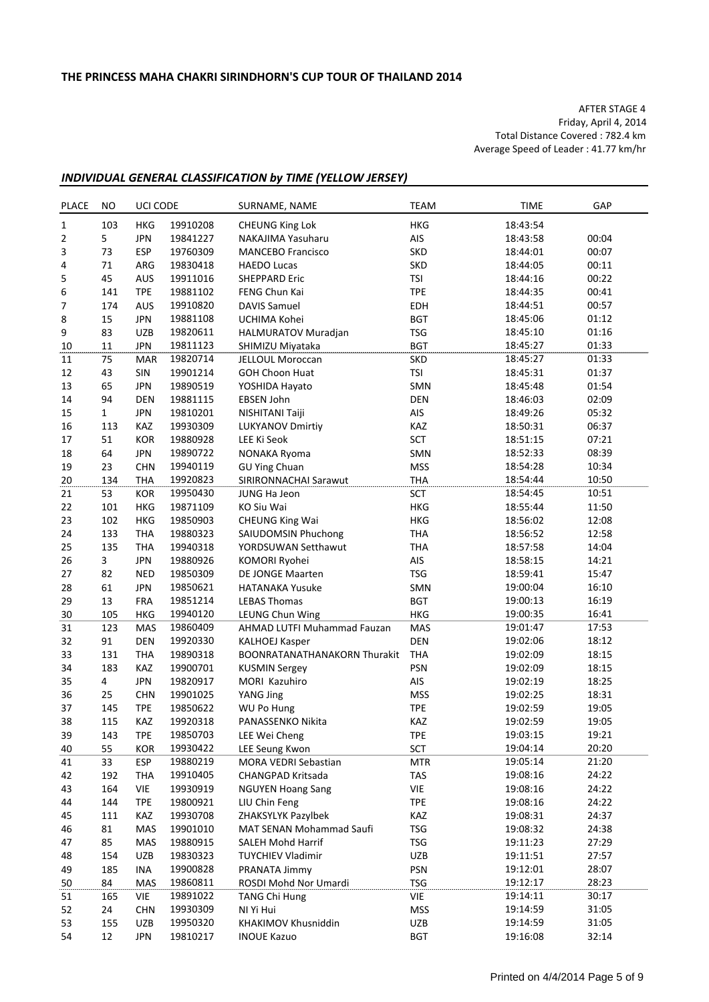AFTER STAGE 4 Friday, April 4, 2014 Total Distance Covered : 782.4 km Average Speed of Leader : 41.77 km/hr

### *INDIVIDUAL GENERAL CLASSIFICATION by TIME (YELLOW JERSEY)*

| <b>PLACE</b> | <b>NO</b>    | UCI CODE   |          | SURNAME, NAME                                 | <b>TEAM</b>              | <b>TIME</b> | GAP   |
|--------------|--------------|------------|----------|-----------------------------------------------|--------------------------|-------------|-------|
| $\mathbf 1$  | 103          | <b>HKG</b> | 19910208 | <b>CHEUNG King Lok</b>                        | <b>HKG</b>               | 18:43:54    |       |
| 2            | 5            | <b>JPN</b> | 19841227 | NAKAJIMA Yasuharu                             | AIS                      | 18:43:58    | 00:04 |
| 3            | 73           | <b>ESP</b> | 19760309 | <b>MANCEBO Francisco</b>                      | <b>SKD</b>               | 18:44:01    | 00:07 |
| 4            | 71           | ARG        | 19830418 | <b>HAEDO Lucas</b>                            | <b>SKD</b>               | 18:44:05    | 00:11 |
| 5            | 45           | AUS        | 19911016 | <b>SHEPPARD Eric</b>                          | <b>TSI</b>               | 18:44:16    | 00:22 |
| 6            | 141          | <b>TPE</b> | 19881102 | FENG Chun Kai                                 | <b>TPE</b>               | 18:44:35    | 00:41 |
| 7            | 174          | AUS        | 19910820 | <b>DAVIS Samuel</b>                           | EDH                      | 18:44:51    | 00:57 |
| 8            | 15           | <b>JPN</b> | 19881108 | UCHIMA Kohei                                  | <b>BGT</b>               | 18:45:06    | 01:12 |
| 9            | 83           | <b>UZB</b> | 19820611 | HALMURATOV Muradjan                           | <b>TSG</b>               | 18:45:10    | 01:16 |
| 10           | 11           | <b>JPN</b> | 19811123 | SHIMIZU Miyataka                              | <b>BGT</b>               | 18:45:27    | 01:33 |
| 11           | 75           | <b>MAR</b> | 19820714 | <b>JELLOUL Moroccan</b>                       | <b>SKD</b>               | 18:45:27    | 01:33 |
| 12           | 43           | SIN        | 19901214 | <b>GOH Choon Huat</b>                         | <b>TSI</b>               | 18:45:31    | 01:37 |
| 13           | 65           | <b>JPN</b> | 19890519 | YOSHIDA Hayato                                | SMN                      | 18:45:48    | 01:54 |
| 14           | 94           | <b>DEN</b> | 19881115 | EBSEN John                                    | DEN                      | 18:46:03    | 02:09 |
| 15           | $\mathbf{1}$ | <b>JPN</b> | 19810201 | NISHITANI Taiji                               | AIS                      | 18:49:26    | 05:32 |
| 16           | 113          | KAZ        | 19930309 | <b>LUKYANOV Dmirtiy</b>                       | KAZ                      | 18:50:31    | 06:37 |
| 17           | 51           | KOR        | 19880928 | LEE Ki Seok                                   | <b>SCT</b>               | 18:51:15    | 07:21 |
| 18           | 64           | <b>JPN</b> | 19890722 |                                               | SMN                      | 18:52:33    | 08:39 |
|              | 23           |            |          | NONAKA Ryoma                                  |                          |             |       |
| 19           |              | <b>CHN</b> | 19940119 | <b>GU Ying Chuan</b><br>SIRIRONNACHAI Sarawut | <b>MSS</b><br><b>THA</b> | 18:54:28    | 10:34 |
| 20           | 134          | <b>THA</b> | 19920823 |                                               |                          | 18:54:44    | 10:50 |
| 21           | 53           | KOR        | 19950430 | JUNG Ha Jeon                                  | <b>SCT</b>               | 18:54:45    | 10:51 |
| 22           | 101          | <b>HKG</b> | 19871109 | KO Siu Wai                                    | <b>HKG</b>               | 18:55:44    | 11:50 |
| 23           | 102          | <b>HKG</b> | 19850903 | <b>CHEUNG King Wai</b>                        | HKG                      | 18:56:02    | 12:08 |
| 24           | 133          | <b>THA</b> | 19880323 | SAIUDOMSIN Phuchong                           | <b>THA</b>               | 18:56:52    | 12:58 |
| 25           | 135          | <b>THA</b> | 19940318 | YORDSUWAN Setthawut                           | <b>THA</b>               | 18:57:58    | 14:04 |
| 26           | 3            | <b>JPN</b> | 19880926 | KOMORI Ryohei                                 | AIS                      | 18:58:15    | 14:21 |
| 27           | 82           | <b>NED</b> | 19850309 | DE JONGE Maarten                              | <b>TSG</b>               | 18:59:41    | 15:47 |
| 28           | 61           | <b>JPN</b> | 19850621 | <b>HATANAKA Yusuke</b>                        | SMN                      | 19:00:04    | 16:10 |
| 29           | 13           | <b>FRA</b> | 19851214 | <b>LEBAS Thomas</b>                           | <b>BGT</b>               | 19:00:13    | 16:19 |
| 30           | 105          | <b>HKG</b> | 19940120 | LEUNG Chun Wing                               | HKG                      | 19:00:35    | 16:41 |
| 31           | 123          | MAS        | 19860409 | AHMAD LUTFI Muhammad Fauzan                   | MAS                      | 19:01:47    | 17:53 |
| 32           | 91           | <b>DEN</b> | 19920330 | <b>KALHOEJ Kasper</b>                         | DEN                      | 19:02:06    | 18:12 |
| 33           | 131          | <b>THA</b> | 19890318 | <b>BOONRATANATHANAKORN Thurakit</b>           | <b>THA</b>               | 19:02:09    | 18:15 |
| 34           | 183          | <b>KAZ</b> | 19900701 | <b>KUSMIN Sergey</b>                          | <b>PSN</b>               | 19:02:09    | 18:15 |
| 35           | 4            | <b>JPN</b> | 19820917 | MORI Kazuhiro                                 | AIS                      | 19:02:19    | 18:25 |
| 36           | 25           | <b>CHN</b> | 19901025 | YANG Jing                                     | <b>MSS</b>               | 19:02:25    | 18:31 |
| 37           | 145          | <b>TPE</b> | 19850622 | WU Po Hung                                    | <b>TPE</b>               | 19:02:59    | 19:05 |
| 38           | 115          | KAZ        | 19920318 | PANASSENKO Nikita                             | KAZ                      | 19:02:59    | 19:05 |
| 39           | 143          | <b>TPE</b> | 19850703 | LEE Wei Cheng                                 | <b>TPE</b>               | 19:03:15    | 19:21 |
| 40           | 55           | <b>KOR</b> | 19930422 | LEE Seung Kwon                                | SCT                      | 19:04:14    | 20:20 |
| 41           | 33           | ESP        | 19880219 | MORA VEDRI Sebastian                          | <b>MTR</b>               | 19:05:14    | 21:20 |
| 42           | 192          | <b>THA</b> | 19910405 | CHANGPAD Kritsada                             | TAS                      | 19:08:16    | 24:22 |
| 43           | 164          | <b>VIE</b> | 19930919 | <b>NGUYEN Hoang Sang</b>                      | VIE                      | 19:08:16    | 24:22 |
| 44           | 144          | <b>TPE</b> | 19800921 | LIU Chin Feng                                 | <b>TPE</b>               | 19:08:16    | 24:22 |
| 45           | 111          | KAZ        | 19930708 | ZHAKSYLYK Pazylbek                            | KAZ                      | 19:08:31    | 24:37 |
| 46           | 81           | MAS        | 19901010 | MAT SENAN Mohammad Saufi                      | <b>TSG</b>               | 19:08:32    | 24:38 |
| 47           | 85           | MAS        | 19880915 | <b>SALEH Mohd Harrif</b>                      | <b>TSG</b>               | 19:11:23    | 27:29 |
| 48           | 154          | UZB        | 19830323 | <b>TUYCHIEV Vladimir</b>                      | UZB                      | 19:11:51    | 27:57 |
| 49           | 185          | INA        | 19900828 | PRANATA Jimmy                                 | PSN                      | 19:12:01    | 28:07 |
| 50           | 84           | MAS        | 19860811 | ROSDI Mohd Nor Umardi                         | <b>TSG</b>               | 19:12:17    | 28:23 |
| 51           | 165          | VIE        | 19891022 | <b>TANG Chi Hung</b>                          | VIE                      | 19:14:11    | 30:17 |
| 52           | 24           | <b>CHN</b> | 19930309 | NI Yi Hui                                     | <b>MSS</b>               | 19:14:59    | 31:05 |
| 53           | 155          | <b>UZB</b> | 19950320 | KHAKIMOV Khusniddin                           | UZB                      | 19:14:59    | 31:05 |
| 54           | 12           | <b>JPN</b> | 19810217 | <b>INOUE Kazuo</b>                            | <b>BGT</b>               | 19:16:08    | 32:14 |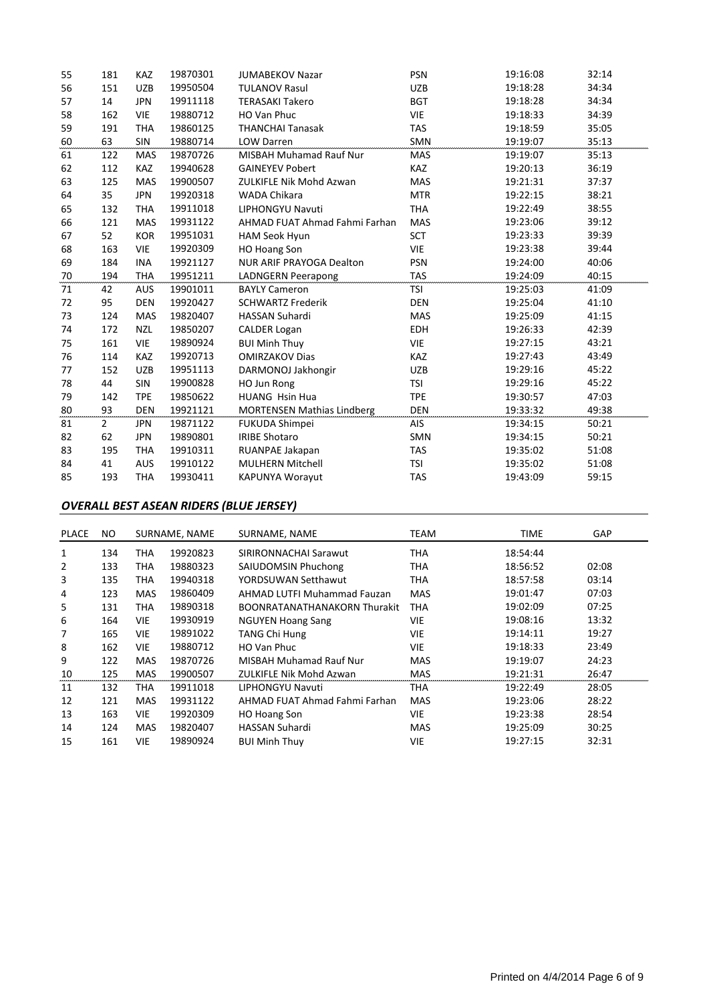| 55 | 181            | <b>KAZ</b> | 19870301 | <b>JUMABEKOV Nazar</b>            | <b>PSN</b> | 19:16:08 | 32:14 |
|----|----------------|------------|----------|-----------------------------------|------------|----------|-------|
| 56 | 151            | <b>UZB</b> | 19950504 | <b>TULANOV Rasul</b>              | <b>UZB</b> | 19:18:28 | 34:34 |
| 57 | 14             | <b>JPN</b> | 19911118 | <b>TERASAKI Takero</b>            | <b>BGT</b> | 19:18:28 | 34:34 |
| 58 | 162            | <b>VIE</b> | 19880712 | <b>HO Van Phuc</b>                | <b>VIE</b> | 19:18:33 | 34:39 |
| 59 | 191            | <b>THA</b> | 19860125 | <b>THANCHAI Tanasak</b>           | <b>TAS</b> | 19:18:59 | 35:05 |
| 60 | 63             | SIN        | 19880714 | LOW Darren                        | SMN        | 19:19:07 | 35:13 |
| 61 | 122            | <b>MAS</b> | 19870726 | <b>MISBAH Muhamad Rauf Nur</b>    | <b>MAS</b> | 19:19:07 | 35:13 |
| 62 | 112            | KAZ        | 19940628 | <b>GAINEYEV Pobert</b>            | <b>KAZ</b> | 19:20:13 | 36:19 |
| 63 | 125            | <b>MAS</b> | 19900507 | <b>ZULKIFLE Nik Mohd Azwan</b>    | <b>MAS</b> | 19:21:31 | 37:37 |
| 64 | 35             | <b>JPN</b> | 19920318 | <b>WADA Chikara</b>               | <b>MTR</b> | 19:22:15 | 38:21 |
| 65 | 132            | <b>THA</b> | 19911018 | <b>LIPHONGYU Navuti</b>           | <b>THA</b> | 19:22:49 | 38:55 |
| 66 | 121            | MAS        | 19931122 | AHMAD FUAT Ahmad Fahmi Farhan     | MAS        | 19:23:06 | 39:12 |
| 67 | 52             | <b>KOR</b> | 19951031 | <b>HAM Seok Hyun</b>              | <b>SCT</b> | 19:23:33 | 39:39 |
| 68 | 163            | <b>VIE</b> | 19920309 | <b>HO Hoang Son</b>               | <b>VIE</b> | 19:23:38 | 39:44 |
| 69 | 184            | <b>INA</b> | 19921127 | NUR ARIF PRAYOGA Dealton          | <b>PSN</b> | 19:24:00 | 40:06 |
| 70 | 194            | <b>THA</b> | 19951211 | <b>LADNGERN Peerapong</b>         | <b>TAS</b> | 19:24:09 | 40:15 |
| 71 | 42             | <b>AUS</b> | 19901011 | <b>BAYLY Cameron</b>              | <b>TSI</b> | 19:25:03 | 41:09 |
| 72 | 95             | <b>DEN</b> | 19920427 | <b>SCHWARTZ Frederik</b>          | <b>DEN</b> | 19:25:04 | 41:10 |
| 73 | 124            | <b>MAS</b> | 19820407 | HASSAN Suhardi                    | MAS        | 19:25:09 | 41:15 |
| 74 | 172            | <b>NZL</b> | 19850207 | <b>CALDER Logan</b>               | <b>EDH</b> | 19:26:33 | 42:39 |
| 75 | 161            | <b>VIE</b> | 19890924 | <b>BUI Minh Thuy</b>              | VIE        | 19:27:15 | 43:21 |
| 76 | 114            | KAZ        |          |                                   |            |          |       |
| 77 |                |            | 19920713 | <b>OMIRZAKOV Dias</b>             | <b>KAZ</b> | 19:27:43 | 43:49 |
|    | 152            | <b>UZB</b> | 19951113 | DARMONOJ Jakhongir                | <b>UZB</b> | 19:29:16 | 45:22 |
| 78 | 44             | <b>SIN</b> | 19900828 | HO Jun Rong                       | <b>TSI</b> | 19:29:16 | 45:22 |
| 79 | 142            | <b>TPE</b> | 19850622 | <b>HUANG Hsin Hua</b>             | <b>TPE</b> | 19:30:57 | 47:03 |
| 80 | 93             | <b>DEN</b> | 19921121 | <b>MORTENSEN Mathias Lindberg</b> | <b>DEN</b> | 19:33:32 | 49:38 |
| 81 | $\overline{2}$ | <b>JPN</b> | 19871122 | <b>FUKUDA Shimpei</b>             | AIS        | 19:34:15 | 50:21 |
| 82 | 62             | <b>JPN</b> | 19890801 | <b>IRIBE Shotaro</b>              | <b>SMN</b> | 19:34:15 | 50:21 |
| 83 | 195            | <b>THA</b> | 19910311 | RUANPAE Jakapan                   | <b>TAS</b> | 19:35:02 | 51:08 |
| 84 | 41             | <b>AUS</b> | 19910122 | <b>MULHERN Mitchell</b>           | <b>TSI</b> | 19:35:02 | 51:08 |

### *OVERALL BEST ASEAN RIDERS (BLUE JERSEY)*

| <b>PLACE</b> | NO. |            | SURNAME, NAME | SURNAME, NAME                       | TEAM       | <b>TIME</b> | <b>GAP</b> |
|--------------|-----|------------|---------------|-------------------------------------|------------|-------------|------------|
| 1            | 134 | THA        | 19920823      | SIRIRONNACHAI Sarawut               | THA        | 18:54:44    |            |
| 2            | 133 | THA        | 19880323      | SAIUDOMSIN Phuchong                 | THA        | 18:56:52    | 02:08      |
| 3            | 135 | THA        | 19940318      | YORDSUWAN Setthawut                 | THA        | 18:57:58    | 03:14      |
| 4            | 123 | <b>MAS</b> | 19860409      | AHMAD LUTFI Muhammad Fauzan         | <b>MAS</b> | 19:01:47    | 07:03      |
| 5            | 131 | THA        | 19890318      | <b>BOONRATANATHANAKORN Thurakit</b> | <b>THA</b> | 19:02:09    | 07:25      |
| 6            | 164 | <b>VIE</b> | 19930919      | <b>NGUYEN Hoang Sang</b>            | <b>VIE</b> | 19:08:16    | 13:32      |
| 7            | 165 | <b>VIE</b> | 19891022      | <b>TANG Chi Hung</b>                | <b>VIE</b> | 19:14:11    | 19:27      |
| 8            | 162 | <b>VIE</b> | 19880712      | HO Van Phuc                         | <b>VIE</b> | 19:18:33    | 23:49      |
| 9            | 122 | <b>MAS</b> | 19870726      | <b>MISBAH Muhamad Rauf Nur</b>      | <b>MAS</b> | 19:19:07    | 24:23      |
| 10           | 125 | MAS        | 19900507      | ZULKIFLE Nik Mohd Azwan             | <b>MAS</b> | 19:21:31    | 26:47      |
| 11           | 132 | THA        | 19911018      | LIPHONGYU Navuti                    | <b>THA</b> | 19:22:49    | 28:05      |
| 12           | 121 | <b>MAS</b> | 19931122      | AHMAD FUAT Ahmad Fahmi Farhan       | <b>MAS</b> | 19:23:06    | 28:22      |
| 13           | 163 | <b>VIE</b> | 19920309      | HO Hoang Son                        | <b>VIE</b> | 19:23:38    | 28:54      |
| 14           | 124 | <b>MAS</b> | 19820407      | <b>HASSAN Suhardi</b>               | <b>MAS</b> | 19:25:09    | 30:25      |
| 15           | 161 | <b>VIE</b> | 19890924      | <b>BUI Minh Thuy</b>                | <b>VIE</b> | 19:27:15    | 32:31      |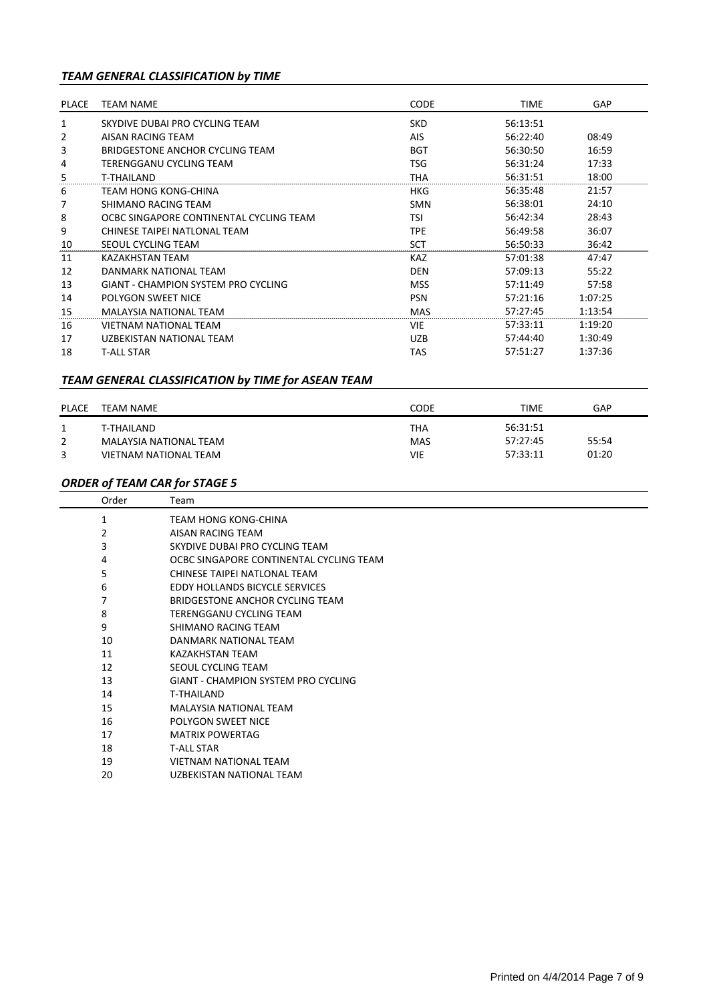## *TEAM GENERAL CLASSIFICATION by TIME*

| PLACE | <b>TEAM NAME</b>                           | <b>CODE</b> | TIME     | <b>GAP</b> |
|-------|--------------------------------------------|-------------|----------|------------|
| 1     | SKYDIVE DUBAI PRO CYCLING TEAM             | <b>SKD</b>  | 56:13:51 |            |
| 2     | AISAN RACING TEAM                          | AIS         | 56:22:40 | 08:49      |
| 3     | BRIDGESTONE ANCHOR CYCLING TEAM            | <b>BGT</b>  | 56:30:50 | 16:59      |
| 4     | TERENGGANU CYCLING TEAM                    | TSG         | 56:31:24 | 17:33      |
| 5     | T-THAILAND                                 | THA         | 56:31:51 | 18:00      |
| 6     | TEAM HONG KONG-CHINA                       | HKG         | 56:35:48 | 21:57      |
| 7     | SHIMANO RACING TEAM                        | <b>SMN</b>  | 56:38:01 | 24:10      |
| 8     | OCBC SINGAPORE CONTINENTAL CYCLING TEAM    | TSI         | 56:42:34 | 28:43      |
| 9     | CHINESE TAIPEI NATLONAL TEAM               | TPE         | 56:49:58 | 36:07      |
| 10    | SEOUL CYCLING TEAM                         | <b>SCT</b>  | 56:50:33 | 36:42      |
| 11    | <b>KAZAKHSTAN TEAM</b>                     | <b>KAZ</b>  | 57:01:38 | 47:47      |
| 12    | DANMARK NATIONAL TFAM                      | <b>DEN</b>  | 57:09:13 | 55:22      |
| 13    | <b>GIANT - CHAMPION SYSTEM PRO CYCLING</b> | <b>MSS</b>  | 57:11:49 | 57:58      |
| 14    | <b>POLYGON SWEET NICE</b>                  | <b>PSN</b>  | 57:21:16 | 1:07:25    |
| 15    | MALAYSIA NATIONAL TEAM                     | <b>MAS</b>  | 57:27:45 | 1:13:54    |
| 16    | <b>VIETNAM NATIONAL TEAM</b>               | <b>VIE</b>  | 57:33:11 | 1:19:20    |
| 17    | UZBEKISTAN NATIONAL TEAM                   | <b>UZB</b>  | 57:44:40 | 1:30:49    |
| 18    | <b>T-ALL STAR</b>                          | TAS         | 57:51:27 | 1:37:36    |

### *TEAM GENERAL CLASSIFICATION by TIME for ASEAN TEAM*

| <b>PLACE</b> | TEAM NAME              | CODE | TIME     | GAP   |
|--------------|------------------------|------|----------|-------|
|              | T-THAILAND             | THA  | 56:31:51 |       |
|              | MALAYSIA NATIONAL TEAM | MAS  | 57:27:45 | 55:54 |
|              | VIETNAM NATIONAL TEAM  | VIE  | 57:33:11 | 01:20 |

### *ORDER of TEAM CAR for STAGE 5*

| Order | Team                                       |
|-------|--------------------------------------------|
| 1     | TEAM HONG KONG-CHINA                       |
| 2     | AISAN RACING TEAM                          |
| 3     | SKYDIVE DUBAI PRO CYCLING TEAM             |
| 4     | OCBC SINGAPORE CONTINENTAL CYCLING TEAM    |
| 5     | CHINESE TAIPEI NATLONAL TEAM               |
| 6     | EDDY HOLLANDS BICYCLE SERVICES             |
| 7     | BRIDGESTONE ANCHOR CYCLING TEAM            |
| 8     | TERENGGANU CYCLING TEAM                    |
| 9     | SHIMANO RACING TEAM                        |
| 10    | DANMARK NATIONAL TEAM                      |
| 11    | <b>KAZAKHSTAN TEAM</b>                     |
| 12    | SEOUL CYCLING TEAM                         |
| 13    | <b>GIANT - CHAMPION SYSTEM PRO CYCLING</b> |
| 14    | <b>T-THAILAND</b>                          |
| 15    | <b>MALAYSIA NATIONAL TEAM</b>              |
| 16    | POLYGON SWEET NICE                         |
| 17    | <b>MATRIX POWERTAG</b>                     |
| 18    | <b>T-ALL STAR</b>                          |
| 19    | VIETNAM NATIONAL TEAM                      |
| 20    | UZBEKISTAN NATIONAL TEAM                   |
|       |                                            |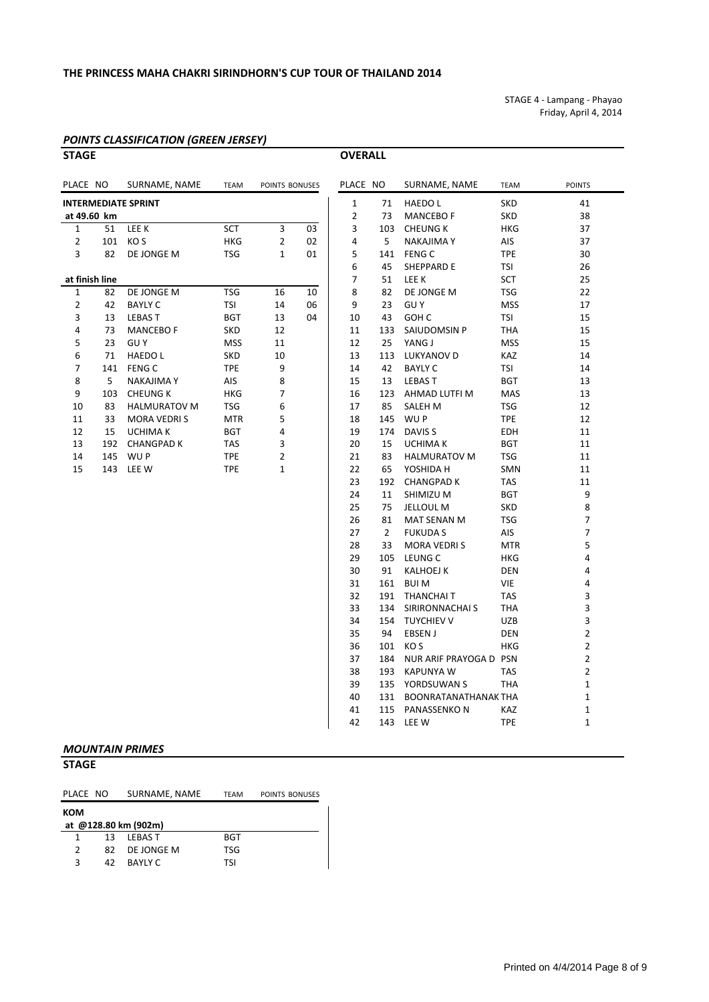### **THE PRINCESS MAHA CHAKRI SIRINDHORN'S CUP TOUR OF THAILAND 2014**

STAGE 4 ‐ Lampang ‐ Phayao Friday, April 4, 2014

### *POINTS CLASSIFICATION (GREEN JERSEY)*

### **STAGE OVERALL**

| PLACE NO       |     | SURNAME, NAME              | <b>TEAM</b> | POINTS BONUSES |    | PLACE NO       |                | SURNAME, NAME            | <b>TEAM</b> | <b>POINTS</b>  |
|----------------|-----|----------------------------|-------------|----------------|----|----------------|----------------|--------------------------|-------------|----------------|
|                |     | <b>INTERMEDIATE SPRINT</b> |             |                |    | $\mathbf{1}$   | 71             | <b>HAEDOL</b>            | <b>SKD</b>  | 41             |
| at 49.60 km    |     |                            |             |                |    | $\overline{2}$ | 73             | <b>MANCEBO F</b>         | <b>SKD</b>  | 38             |
| $\mathbf{1}$   | 51  | LEE K                      | <b>SCT</b>  | 3              | 03 | 3              |                | 103 CHEUNG K             | <b>HKG</b>  | 37             |
| $\overline{2}$ | 101 | KO S                       | HKG         | $\overline{2}$ | 02 | 4              | 5              | <b>NAKAJIMA Y</b>        | AIS         | 37             |
| 3              | 82  | DE JONGE M                 | TSG         | $\mathbf{1}$   | 01 | 5              |                | 141 FENG C               | <b>TPE</b>  | 30             |
|                |     |                            |             |                |    | 6              | 45             | SHEPPARD E               | TSI         | 26             |
| at finish line |     |                            |             |                |    | 7              | 51             | <b>LEE K</b>             | SCT         | 25             |
| 1              | 82  | DE JONGE M                 | <b>TSG</b>  | 16             | 10 | 8              | 82             | DE JONGE M               | TSG         | 22             |
| $\overline{2}$ | 42  | <b>BAYLY C</b>             | <b>TSI</b>  | 14             | 06 | 9              | 23             | <b>GUY</b>               | <b>MSS</b>  | 17             |
| 3              | 13  | <b>LEBAST</b>              | <b>BGT</b>  | 13             | 04 | 10             | 43             | GOH C                    | TSI         | 15             |
| 4              | 73  | <b>MANCEBO F</b>           | SKD         | 12             |    | 11             | 133            | SAIUDOMSIN P             | <b>THA</b>  | 15             |
| 5              | 23  | <b>GUY</b>                 | MSS         | 11             |    | 12             | 25             | YANG J                   | <b>MSS</b>  | 15             |
| 6              | 71  | <b>HAEDOL</b>              | SKD         | 10             |    | 13             | 113            | LUKYANOV D               | KAZ         | 14             |
| 7              |     | 141 FENG C                 | <b>TPE</b>  | 9              |    | 14             | 42             | <b>BAYLY C</b>           | TSI         | 14             |
| 8              | 5   | NAKAJIMA Y                 | AIS         | 8              |    | 15             | 13             | <b>LEBAST</b>            | <b>BGT</b>  | 13             |
| 9              | 103 | <b>CHEUNG K</b>            | HKG         | 7              |    | 16             |                | 123 AHMAD LUTFI M        | MAS         | 13             |
| 10             | 83  | <b>HALMURATOV M</b>        | TSG         | 6              |    | 17             | 85             | SALEH M                  | TSG         | 12             |
| 11             | 33  | <b>MORA VEDRIS</b>         | <b>MTR</b>  | 5              |    | 18             |                | 145 WUP                  | <b>TPE</b>  | 12             |
| 12             | 15  | <b>UCHIMA K</b>            | <b>BGT</b>  | 4              |    | 19             | 174            | DAVIS <sub>S</sub>       | <b>EDH</b>  | 11             |
| 13             |     | 192 CHANGPAD K             | TAS         | 3              |    | 20             | 15             | <b>UCHIMA K</b>          | <b>BGT</b>  | 11             |
| 14             |     | 145 WUP                    | <b>TPE</b>  | 2              |    | 21             | 83             | <b>HALMURATOV M</b>      | <b>TSG</b>  | 11             |
| 15             |     | 143 LEE W                  | <b>TPE</b>  | $\mathbf{1}$   |    | 22             | 65             | YOSHIDA H                | SMN         | 11             |
|                |     |                            |             |                |    | 23             |                | 192 CHANGPAD K           | TAS         | 11             |
|                |     |                            |             |                |    | 24             | 11             | SHIMIZU M                | <b>BGT</b>  | 9              |
|                |     |                            |             |                |    | 25             | 75             | JELLOUL M                | <b>SKD</b>  | 8              |
|                |     |                            |             |                |    | 26             | 81             | MAT SENAN M              | TSG         | $\overline{7}$ |
|                |     |                            |             |                |    | 27             | $\overline{2}$ | <b>FUKUDA S</b>          | AIS         | 7              |
|                |     |                            |             |                |    | 28             | 33             | <b>MORA VEDRIS</b>       | <b>MTR</b>  | 5              |
|                |     |                            |             |                |    | 29             |                | 105 LEUNG C              | HKG         | 4              |
|                |     |                            |             |                |    | 30             | 91             | <b>KALHOEJ K</b>         | <b>DEN</b>  | 4              |
|                |     |                            |             |                |    | 31             |                | 161 BUI M                | VIE         | 4              |
|                |     |                            |             |                |    | 32             |                | 191 THANCHAIT            | TAS         | 3              |
|                |     |                            |             |                |    | 33             |                | 134 SIRIRONNACHAI S      | <b>THA</b>  | 3              |
|                |     |                            |             |                |    | 34             |                | 154 TUYCHIEV V           | <b>UZB</b>  | 3              |
|                |     |                            |             |                |    | 35             | 94             | EBSEN J                  | <b>DEN</b>  | $\overline{2}$ |
|                |     |                            |             |                |    | 36             |                | 101 KOS                  | <b>HKG</b>  | $\overline{2}$ |
|                |     |                            |             |                |    | 37             | 184            | NUR ARIF PRAYOGA D PSN   |             | $\overline{2}$ |
|                |     |                            |             |                |    | 38             |                | 193 KAPUNYA W            | <b>TAS</b>  | $\overline{2}$ |
|                |     |                            |             |                |    | 39             |                | 135 YORDSUWAN S          | <b>THA</b>  | $\mathbf{1}$   |
|                |     |                            |             |                |    | 40             |                | 131 BOONRATANATHANAK THA |             | 1              |
|                |     |                            |             |                |    | 41             |                | 115 PANASSENKON          | KAZ         | $\mathbf{1}$   |
|                |     |                            |             |                |    | 42             |                | 143 LEE W                | <b>TPE</b>  | $\mathbf{1}$   |
|                |     | <b>MOUNTAIN PRIMES</b>     |             |                |    |                |                |                          |             |                |

**STAGE**

### PLACE NO SURNAME, NAME TEAM POINTS BONUSES

| ком                  |    |               |            |  |  |  |  |  |  |  |
|----------------------|----|---------------|------------|--|--|--|--|--|--|--|
| at @128.80 km (902m) |    |               |            |  |  |  |  |  |  |  |
| 1                    |    | 13 IFBAST     | <b>BGT</b> |  |  |  |  |  |  |  |
| $\mathcal{P}$        |    | 82 DE JONGE M | TSG        |  |  |  |  |  |  |  |
| ર                    | 42 | BAYI Y C      | TSI        |  |  |  |  |  |  |  |